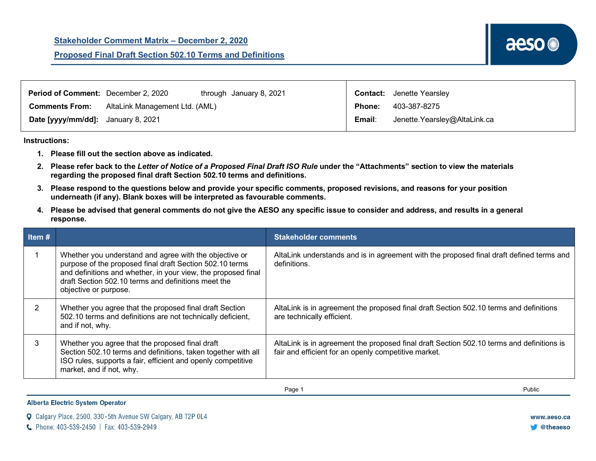| <b>Period of Comment:</b> December 2, 2020 |                                | through January 8, 2021 |               | <b>Contact:</b> Jenette Yearsley |
|--------------------------------------------|--------------------------------|-------------------------|---------------|----------------------------------|
| <b>Comments From:</b>                      | AltaLink Management Ltd. (AML) |                         | <b>Phone:</b> | 403-387-8275                     |
| Date [yyyy/mm/dd]: January 8, 2021         |                                |                         | Email:        | Jenette.Yearsley@AltaLink.ca     |

## **Instructions:**

- **1. Please fill out the section above as indicated.**
- **2. Please refer back to the** *Letter of Notice of a Proposed Final Draft ISO Rule* **under the "Attachments" section to view the materials regarding the proposed final draft Section 502.10 terms and definitions.**
- **3. Please respond to the questions below and provide your specific comments, proposed revisions, and reasons for your position underneath (if any). Blank boxes will be interpreted as favourable comments.**
- **4. Please be advised that general comments do not give the AESO any specific issue to consider and address, and results in a general response.**

| Item $#$ |                                                                                                                                                                                                                                                                     | <b>Stakeholder comments</b>                                                                                                                       |
|----------|---------------------------------------------------------------------------------------------------------------------------------------------------------------------------------------------------------------------------------------------------------------------|---------------------------------------------------------------------------------------------------------------------------------------------------|
|          | Whether you understand and agree with the objective or<br>purpose of the proposed final draft Section 502.10 terms<br>and definitions and whether, in your view, the proposed final<br>draft Section 502.10 terms and definitions meet the<br>objective or purpose. | AltaLink understands and is in agreement with the proposed final draft defined terms and<br>definitions.                                          |
| 2        | Whether you agree that the proposed final draft Section<br>502.10 terms and definitions are not technically deficient,<br>and if not, why.                                                                                                                          | AltaLink is in agreement the proposed final draft Section 502.10 terms and definitions<br>are technically efficient.                              |
| 3        | Whether you agree that the proposed final draft<br>Section 502.10 terms and definitions, taken together with all<br>ISO rules, supports a fair, efficient and openly competitive<br>market, and if not, why.                                                        | AltaLink is in agreement the proposed final draft Section 502.10 terms and definitions is<br>fair and efficient for an openly competitive market. |

Page 1 Public

**Alberta Electric System Operator** 

|  | <b>Q</b> Calgary Place, 2500, 330-5th Avenue SW Calgary, AB T2P 0L4 |  |  |  |  |  |  |  |  |  |  |  |
|--|---------------------------------------------------------------------|--|--|--|--|--|--|--|--|--|--|--|
|--|---------------------------------------------------------------------|--|--|--|--|--|--|--|--|--|--|--|

C Phone: 403-539-2450 | Fax: 403-539-2949